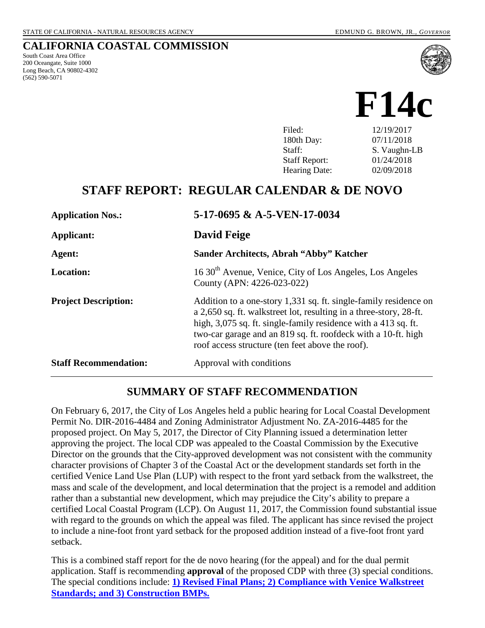South Coast Area Office 200 Oceangate, Suite 1000 Long Beach, CA 90802-4302

(562) 590-5071

**CALIFORNIA COASTAL COMMISSION**



| Filed:               | 12/19/2017   |
|----------------------|--------------|
| 180th Day:           | 07/11/2018   |
| Staff:               | S. Vaughn-LB |
| <b>Staff Report:</b> | 01/24/2018   |
| <b>Hearing Date:</b> | 02/09/2018   |
|                      |              |

## **STAFF REPORT: REGULAR CALENDAR & DE NOVO**

| <b>Application Nos.:</b>     | 5-17-0695 & A-5-VEN-17-0034                                                                                                                                                                                                                                                                                                   |
|------------------------------|-------------------------------------------------------------------------------------------------------------------------------------------------------------------------------------------------------------------------------------------------------------------------------------------------------------------------------|
| Applicant:                   | David Feige                                                                                                                                                                                                                                                                                                                   |
| Agent:                       | Sander Architects, Abrah "Abby" Katcher                                                                                                                                                                                                                                                                                       |
| <b>Location:</b>             | 16 30 <sup>th</sup> Avenue, Venice, City of Los Angeles, Los Angeles<br>County (APN: 4226-023-022)                                                                                                                                                                                                                            |
| <b>Project Description:</b>  | Addition to a one-story 1,331 sq. ft. single-family residence on<br>a 2,650 sq. ft. walkstreet lot, resulting in a three-story, 28-ft.<br>high, 3,075 sq. ft. single-family residence with a 413 sq. ft.<br>two-car garage and an 819 sq. ft. roofdeck with a 10-ft. high<br>roof access structure (ten feet above the roof). |
| <b>Staff Recommendation:</b> | Approval with conditions                                                                                                                                                                                                                                                                                                      |

#### **SUMMARY OF STAFF RECOMMENDATION**

On February 6, 2017, the City of Los Angeles held a public hearing for Local Coastal Development Permit No. DIR-2016-4484 and Zoning Administrator Adjustment No. ZA-2016-4485 for the proposed project. On May 5, 2017, the Director of City Planning issued a determination letter approving the project. The local CDP was appealed to the Coastal Commission by the Executive Director on the grounds that the City-approved development was not consistent with the community character provisions of Chapter 3 of the Coastal Act or the development standards set forth in the certified Venice Land Use Plan (LUP) with respect to the front yard setback from the walkstreet, the mass and scale of the development, and local determination that the project is a remodel and addition rather than a substantial new development, which may prejudice the City's ability to prepare a certified Local Coastal Program (LCP). On August 11, 2017, the Commission found substantial issue with regard to the grounds on which the appeal was filed. The applicant has since revised the project to include a nine-foot front yard setback for the proposed addition instead of a five-foot front yard setback.

This is a combined staff report for the de novo hearing (for the appeal) and for the dual permit application. Staff is recommending **approval** of the proposed CDP with three (3) special conditions. The special conditions include: **[1\) Revised Final Plans; 2\) Compliance with Venice Walkstreet](#page-3-0)  [Standards; and 3\) Construction BMPs.](#page-3-0)**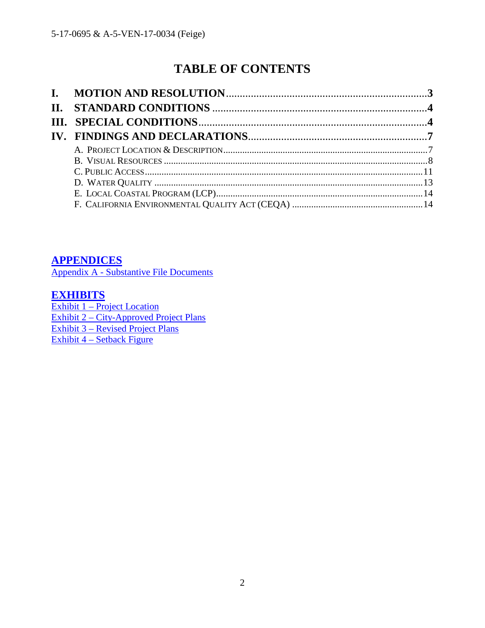# **TABLE OF CONTENTS**

<span id="page-1-0"></span>**[APPENDICES](#page-1-0)**

[Appendix A - Substantive File Documents](#page-1-0)

## **[EXHIBITS](https://documents.coastal.ca.gov/reports/2018/2/F14c/F14c-2-2018-exhibits.pdf)**

[Exhibit 1 – Project Location](https://documents.coastal.ca.gov/reports/2018/2/F14c/F14c-2-2018-exhibits.pdf)  [Exhibit 2 – City-Approved Project](https://documents.coastal.ca.gov/reports/2018/2/F14c/F14c-2-2018-exhibits.pdf) Plans [Exhibit 3 – Revised Project Plans](https://documents.coastal.ca.gov/reports/2018/2/F14c/F14c-2-2018-exhibits.pdf)  [Exhibit 4 – Setback Figure](https://documents.coastal.ca.gov/reports/2018/2/F14c/F14c-2-2018-exhibits.pdf)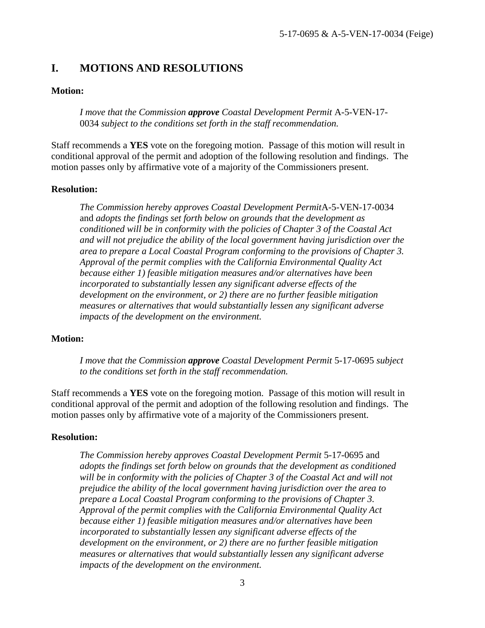### <span id="page-2-0"></span>**I. MOTIONS AND RESOLUTIONS**

#### **Motion:**

*I move that the Commission approve Coastal Development Permit* A-5-VEN-17- 0034 *subject to the conditions set forth in the staff recommendation.* 

Staff recommends a **YES** vote on the foregoing motion. Passage of this motion will result in conditional approval of the permit and adoption of the following resolution and findings. The motion passes only by affirmative vote of a majority of the Commissioners present.

#### **Resolution:**

*The Commission hereby approves Coastal Development Permit*A-5-VEN-17-0034 and *adopts the findings set forth below on grounds that the development as conditioned will be in conformity with the policies of Chapter 3 of the Coastal Act and will not prejudice the ability of the local government having jurisdiction over the area to prepare a Local Coastal Program conforming to the provisions of Chapter 3. Approval of the permit complies with the California Environmental Quality Act because either 1) feasible mitigation measures and/or alternatives have been incorporated to substantially lessen any significant adverse effects of the development on the environment, or 2) there are no further feasible mitigation measures or alternatives that would substantially lessen any significant adverse impacts of the development on the environment.* 

#### **Motion:**

*I move that the Commission approve Coastal Development Permit* 5-17-0695 *subject to the conditions set forth in the staff recommendation.* 

Staff recommends a **YES** vote on the foregoing motion. Passage of this motion will result in conditional approval of the permit and adoption of the following resolution and findings. The motion passes only by affirmative vote of a majority of the Commissioners present.

#### **Resolution:**

*The Commission hereby approves Coastal Development Permit* 5-17-0695 and *adopts the findings set forth below on grounds that the development as conditioned will be in conformity with the policies of Chapter 3 of the Coastal Act and will not prejudice the ability of the local government having jurisdiction over the area to prepare a Local Coastal Program conforming to the provisions of Chapter 3. Approval of the permit complies with the California Environmental Quality Act because either 1) feasible mitigation measures and/or alternatives have been incorporated to substantially lessen any significant adverse effects of the development on the environment, or 2) there are no further feasible mitigation measures or alternatives that would substantially lessen any significant adverse impacts of the development on the environment.*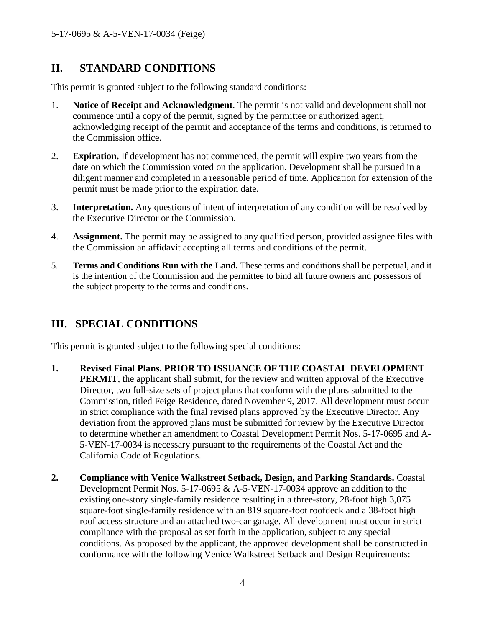## <span id="page-3-1"></span>**II. STANDARD CONDITIONS**

This permit is granted subject to the following standard conditions:

- 1. **Notice of Receipt and Acknowledgment**. The permit is not valid and development shall not commence until a copy of the permit, signed by the permittee or authorized agent, acknowledging receipt of the permit and acceptance of the terms and conditions, is returned to the Commission office.
- 2. **Expiration.** If development has not commenced, the permit will expire two years from the date on which the Commission voted on the application. Development shall be pursued in a diligent manner and completed in a reasonable period of time. Application for extension of the permit must be made prior to the expiration date.
- 3. **Interpretation.** Any questions of intent of interpretation of any condition will be resolved by the Executive Director or the Commission.
- 4. **Assignment.** The permit may be assigned to any qualified person, provided assignee files with the Commission an affidavit accepting all terms and conditions of the permit.
- 5. **Terms and Conditions Run with the Land.** These terms and conditions shall be perpetual, and it is the intention of the Commission and the permittee to bind all future owners and possessors of the subject property to the terms and conditions.

## <span id="page-3-0"></span>**III. SPECIAL CONDITIONS**

This permit is granted subject to the following special conditions:

- **1. Revised Final Plans. PRIOR TO ISSUANCE OF THE COASTAL DEVELOPMENT PERMIT**, the applicant shall submit, for the review and written approval of the Executive Director, two full-size sets of project plans that conform with the plans submitted to the Commission, titled Feige Residence, dated November 9, 2017. All development must occur in strict compliance with the final revised plans approved by the Executive Director. Any deviation from the approved plans must be submitted for review by the Executive Director to determine whether an amendment to Coastal Development Permit Nos. 5-17-0695 and A-5-VEN-17-0034 is necessary pursuant to the requirements of the Coastal Act and the California Code of Regulations.
- **2. Compliance with Venice Walkstreet Setback, Design, and Parking Standards.** Coastal Development Permit Nos. 5-17-0695 & A-5-VEN-17-0034 approve an addition to the existing one-story single-family residence resulting in a three-story, 28-foot high 3,075 square-foot single-family residence with an 819 square-foot roofdeck and a 38-foot high roof access structure and an attached two-car garage. All development must occur in strict compliance with the proposal as set forth in the application, subject to any special conditions. As proposed by the applicant, the approved development shall be constructed in conformance with the following Venice Walkstreet Setback and Design Requirements: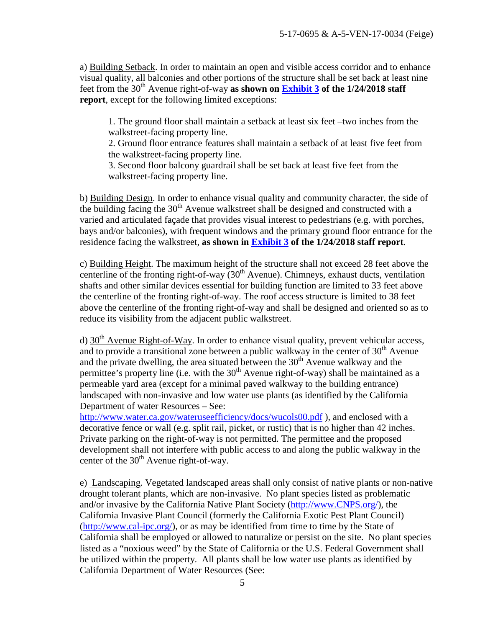a) Building Setback. In order to maintain an open and visible access corridor and to enhance visual quality, all balconies and other portions of the structure shall be set back at least nine feet from the 30<sup>th</sup> Avenue right-of-way **as shown on <b>Exhibit 3** of the 1/24/2018 staff **report**, except for the following limited exceptions:

1. The ground floor shall maintain a setback at least six feet –two inches from the walkstreet-facing property line.

2. Ground floor entrance features shall maintain a setback of at least five feet from the walkstreet-facing property line.

3. Second floor balcony guardrail shall be set back at least five feet from the walkstreet-facing property line.

b) Building Design. In order to enhance visual quality and community character, the side of the building facing the  $30<sup>th</sup>$  Avenue walkstreet shall be designed and constructed with a varied and articulated façade that provides visual interest to pedestrians (e.g. with porches, bays and/or balconies), with frequent windows and the primary ground floor entrance for the residence facing the walkstreet, **as shown in [Exhibit 3](https://documents.coastal.ca.gov/reports/2018/2/F14c/F14c-2-2018-exhibits.pdf) of the 1/24/2018 staff report**.

c) Building Height. The maximum height of the structure shall not exceed 28 feet above the centerline of the fronting right-of-way  $(30<sup>th</sup>$  Avenue). Chimneys, exhaust ducts, ventilation shafts and other similar devices essential for building function are limited to 33 feet above the centerline of the fronting right-of-way. The roof access structure is limited to 38 feet above the centerline of the fronting right-of-way and shall be designed and oriented so as to reduce its visibility from the adjacent public walkstreet.

d)  $30<sup>th</sup>$  Avenue Right-of-Way. In order to enhance visual quality, prevent vehicular access, and to provide a transitional zone between a public walkway in the center of  $30<sup>th</sup>$  Avenue and the private dwelling, the area situated between the  $30<sup>th</sup>$  Avenue walkway and the permittee's property line (i.e. with the  $30<sup>th</sup>$  Avenue right-of-way) shall be maintained as a permeable yard area (except for a minimal paved walkway to the building entrance) landscaped with non-invasive and low water use plants (as identified by the California Department of water Resources – See:

<http://www.water.ca.gov/wateruseefficiency/docs/wucols00.pdf>), and enclosed with a decorative fence or wall (e.g. split rail, picket, or rustic) that is no higher than 42 inches. Private parking on the right-of-way is not permitted. The permittee and the proposed development shall not interfere with public access to and along the public walkway in the center of the  $30<sup>th</sup>$  Avenue right-of-way.

e) Landscaping. Vegetated landscaped areas shall only consist of native plants or non-native drought tolerant plants, which are non-invasive. No plant species listed as problematic and/or invasive by the California Native Plant Society [\(http://www.CNPS.org/\)](http://www.cnps.org/), the California Invasive Plant Council (formerly the California Exotic Pest Plant Council) [\(http://www.cal-ipc.org/\)](http://www.cal-ipc.org/), or as may be identified from time to time by the State of California shall be employed or allowed to naturalize or persist on the site. No plant species listed as a "noxious weed" by the State of California or the U.S. Federal Government shall be utilized within the property. All plants shall be low water use plants as identified by California Department of Water Resources (See: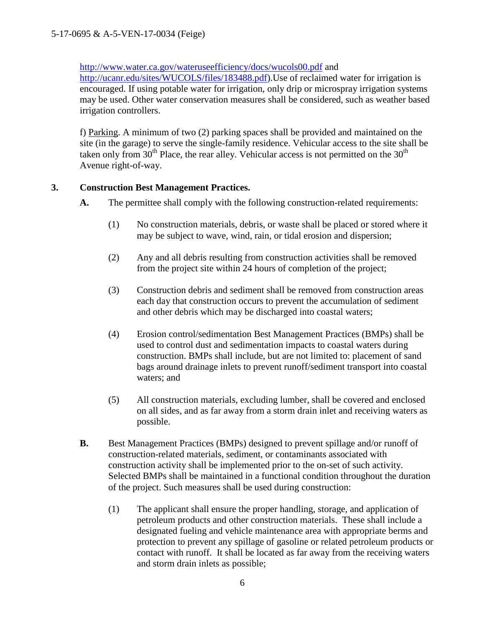<http://www.water.ca.gov/wateruseefficiency/docs/wucols00.pdf>and

[http://ucanr.edu/sites/WUCOLS/files/183488.pdf\)](http://ucanr.edu/sites/WUCOLS/files/183488.pdf).Use of reclaimed water for irrigation is encouraged. If using potable water for irrigation, only drip or microspray irrigation systems may be used. Other water conservation measures shall be considered, such as weather based irrigation controllers.

f) Parking. A minimum of two (2) parking spaces shall be provided and maintained on the site (in the garage) to serve the single-family residence. Vehicular access to the site shall be taken only from  $30<sup>th</sup>$  Place, the rear alley. Vehicular access is not permitted on the  $30<sup>th</sup>$ Avenue right-of-way.

#### **3. Construction Best Management Practices.**

- **A.** The permittee shall comply with the following construction-related requirements:
	- (1) No construction materials, debris, or waste shall be placed or stored where it may be subject to wave, wind, rain, or tidal erosion and dispersion;
	- (2) Any and all debris resulting from construction activities shall be removed from the project site within 24 hours of completion of the project;
	- (3) Construction debris and sediment shall be removed from construction areas each day that construction occurs to prevent the accumulation of sediment and other debris which may be discharged into coastal waters;
	- (4) Erosion control/sedimentation Best Management Practices (BMPs) shall be used to control dust and sedimentation impacts to coastal waters during construction. BMPs shall include, but are not limited to: placement of sand bags around drainage inlets to prevent runoff/sediment transport into coastal waters; and
	- (5) All construction materials, excluding lumber, shall be covered and enclosed on all sides, and as far away from a storm drain inlet and receiving waters as possible.
- **B.** Best Management Practices (BMPs) designed to prevent spillage and/or runoff of construction-related materials, sediment, or contaminants associated with construction activity shall be implemented prior to the on-set of such activity. Selected BMPs shall be maintained in a functional condition throughout the duration of the project. Such measures shall be used during construction:
	- (1) The applicant shall ensure the proper handling, storage, and application of petroleum products and other construction materials. These shall include a designated fueling and vehicle maintenance area with appropriate berms and protection to prevent any spillage of gasoline or related petroleum products or contact with runoff. It shall be located as far away from the receiving waters and storm drain inlets as possible;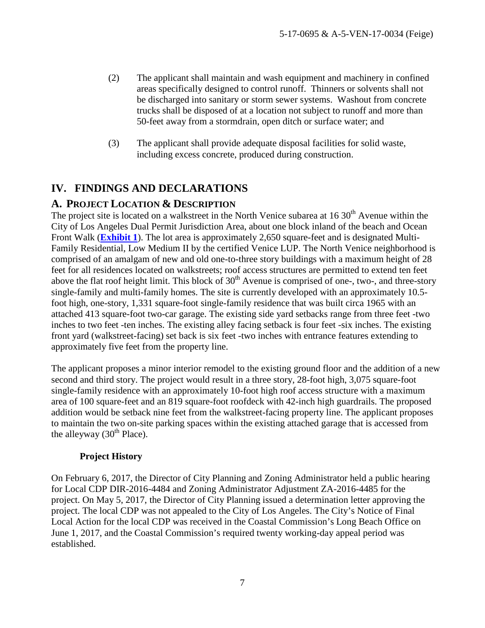- (2) The applicant shall maintain and wash equipment and machinery in confined areas specifically designed to control runoff. Thinners or solvents shall not be discharged into sanitary or storm sewer systems. Washout from concrete trucks shall be disposed of at a location not subject to runoff and more than 50-feet away from a stormdrain, open ditch or surface water; and
- (3) The applicant shall provide adequate disposal facilities for solid waste, including excess concrete, produced during construction.

## <span id="page-6-0"></span>**IV. FINDINGS AND DECLARATIONS**

#### <span id="page-6-1"></span>**A. PROJECT LOCATION & DESCRIPTION**

The project site is located on a walkstreet in the North Venice subarea at  $16\,30<sup>th</sup>$  Avenue within the City of Los Angeles Dual Permit Jurisdiction Area, about one block inland of the beach and Ocean Front Walk (**[Exhibit 1](https://documents.coastal.ca.gov/reports/2018/2/F14c/F14c-2-2018-exhibits.pdf)**). The lot area is approximately 2,650 square-feet and is designated Multi-Family Residential, Low Medium II by the certified Venice LUP. The North Venice neighborhood is comprised of an amalgam of new and old one-to-three story buildings with a maximum height of 28 feet for all residences located on walkstreets; roof access structures are permitted to extend ten feet above the flat roof height limit. This block of  $30<sup>th</sup>$  Avenue is comprised of one-, two-, and three-story single-family and multi-family homes. The site is currently developed with an approximately 10.5 foot high, one-story, 1,331 square-foot single-family residence that was built circa 1965 with an attached 413 square-foot two-car garage. The existing side yard setbacks range from three feet -two inches to two feet -ten inches. The existing alley facing setback is four feet -six inches. The existing front yard (walkstreet-facing) set back is six feet -two inches with entrance features extending to approximately five feet from the property line.

The applicant proposes a minor interior remodel to the existing ground floor and the addition of a new second and third story. The project would result in a three story, 28-foot high, 3,075 square-foot single-family residence with an approximately 10-foot high roof access structure with a maximum area of 100 square-feet and an 819 square-foot roofdeck with 42-inch high guardrails. The proposed addition would be setback nine feet from the walkstreet-facing property line. The applicant proposes to maintain the two on-site parking spaces within the existing attached garage that is accessed from the alleyway  $(30<sup>th</sup>$  Place).

#### **Project History**

On February 6, 2017, the Director of City Planning and Zoning Administrator held a public hearing for Local CDP DIR-2016-4484 and Zoning Administrator Adjustment ZA-2016-4485 for the project. On May 5, 2017, the Director of City Planning issued a determination letter approving the project. The local CDP was not appealed to the City of Los Angeles. The City's Notice of Final Local Action for the local CDP was received in the Coastal Commission's Long Beach Office on June 1, 2017, and the Coastal Commission's required twenty working-day appeal period was established.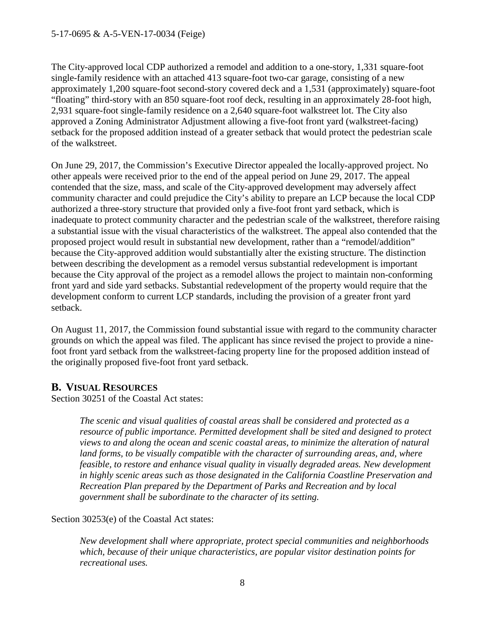#### 5-17-0695 & A-5-VEN-17-0034 (Feige)

The City-approved local CDP authorized a remodel and addition to a one-story, 1,331 square-foot single-family residence with an attached 413 square-foot two-car garage, consisting of a new approximately 1,200 square-foot second-story covered deck and a 1,531 (approximately) square-foot "floating" third-story with an 850 square-foot roof deck, resulting in an approximately 28-foot high, 2,931 square-foot single-family residence on a 2,640 square-foot walkstreet lot. The City also approved a Zoning Administrator Adjustment allowing a five-foot front yard (walkstreet-facing) setback for the proposed addition instead of a greater setback that would protect the pedestrian scale of the walkstreet.

On June 29, 2017, the Commission's Executive Director appealed the locally-approved project. No other appeals were received prior to the end of the appeal period on June 29, 2017. The appeal contended that the size, mass, and scale of the City-approved development may adversely affect community character and could prejudice the City's ability to prepare an LCP because the local CDP authorized a three-story structure that provided only a five-foot front yard setback, which is inadequate to protect community character and the pedestrian scale of the walkstreet, therefore raising a substantial issue with the visual characteristics of the walkstreet. The appeal also contended that the proposed project would result in substantial new development, rather than a "remodel/addition" because the City-approved addition would substantially alter the existing structure. The distinction between describing the development as a remodel versus substantial redevelopment is important because the City approval of the project as a remodel allows the project to maintain non-conforming front yard and side yard setbacks. Substantial redevelopment of the property would require that the development conform to current LCP standards, including the provision of a greater front yard setback.

On August 11, 2017, the Commission found substantial issue with regard to the community character grounds on which the appeal was filed. The applicant has since revised the project to provide a ninefoot front yard setback from the walkstreet-facing property line for the proposed addition instead of the originally proposed five-foot front yard setback.

#### <span id="page-7-0"></span>**B. VISUAL RESOURCES**

Section 30251 of the Coastal Act states:

*The scenic and visual qualities of coastal areas shall be considered and protected as a resource of public importance. Permitted development shall be sited and designed to protect views to and along the ocean and scenic coastal areas, to minimize the alteration of natural land forms, to be visually compatible with the character of surrounding areas, and, where feasible, to restore and enhance visual quality in visually degraded areas. New development in highly scenic areas such as those designated in the California Coastline Preservation and Recreation Plan prepared by the Department of Parks and Recreation and by local government shall be subordinate to the character of its setting.*

Section 30253(e) of the Coastal Act states:

*New development shall where appropriate, protect special communities and neighborhoods which, because of their unique characteristics, are popular visitor destination points for recreational uses.*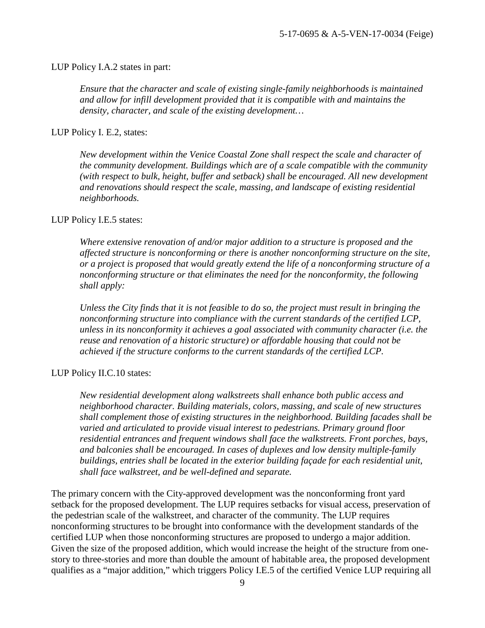#### LUP Policy I.A.2 states in part:

*Ensure that the character and scale of existing single-family neighborhoods is maintained and allow for infill development provided that it is compatible with and maintains the density, character, and scale of the existing development…* 

#### LUP Policy I. E.2, states:

*New development within the Venice Coastal Zone shall respect the scale and character of the community development. Buildings which are of a scale compatible with the community (with respect to bulk, height, buffer and setback) shall be encouraged. All new development and renovations should respect the scale, massing, and landscape of existing residential neighborhoods.* 

#### LUP Policy I.E.5 states:

*Where extensive renovation of and/or major addition to a structure is proposed and the affected structure is nonconforming or there is another nonconforming structure on the site, or a project is proposed that would greatly extend the life of a nonconforming structure of a nonconforming structure or that eliminates the need for the nonconformity, the following shall apply:* 

*Unless the City finds that it is not feasible to do so, the project must result in bringing the nonconforming structure into compliance with the current standards of the certified LCP, unless in its nonconformity it achieves a goal associated with community character (i.e. the reuse and renovation of a historic structure) or affordable housing that could not be achieved if the structure conforms to the current standards of the certified LCP.* 

#### LUP Policy II.C.10 states:

*New residential development along walkstreets shall enhance both public access and neighborhood character. Building materials, colors, massing, and scale of new structures shall complement those of existing structures in the neighborhood. Building facades shall be varied and articulated to provide visual interest to pedestrians. Primary ground floor residential entrances and frequent windows shall face the walkstreets. Front porches, bays, and balconies shall be encouraged. In cases of duplexes and low density multiple-family buildings, entries shall be located in the exterior building façade for each residential unit, shall face walkstreet, and be well-defined and separate.* 

The primary concern with the City-approved development was the nonconforming front yard setback for the proposed development. The LUP requires setbacks for visual access, preservation of the pedestrian scale of the walkstreet, and character of the community. The LUP requires nonconforming structures to be brought into conformance with the development standards of the certified LUP when those nonconforming structures are proposed to undergo a major addition. Given the size of the proposed addition, which would increase the height of the structure from onestory to three-stories and more than double the amount of habitable area, the proposed development qualifies as a "major addition," which triggers Policy I.E.5 of the certified Venice LUP requiring all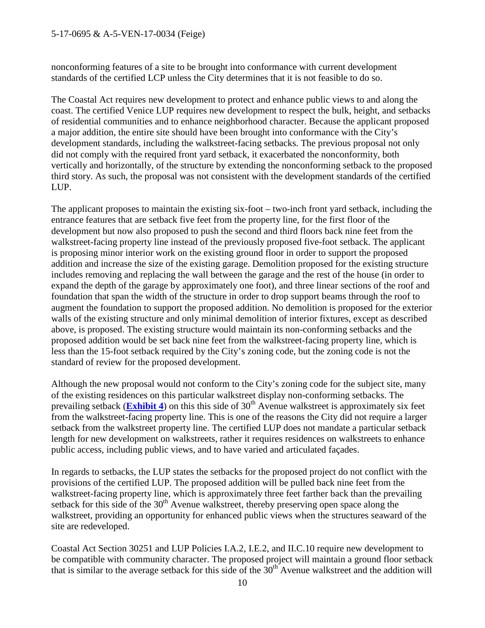#### 5-17-0695 & A-5-VEN-17-0034 (Feige)

nonconforming features of a site to be brought into conformance with current development standards of the certified LCP unless the City determines that it is not feasible to do so.

The Coastal Act requires new development to protect and enhance public views to and along the coast. The certified Venice LUP requires new development to respect the bulk, height, and setbacks of residential communities and to enhance neighborhood character. Because the applicant proposed a major addition, the entire site should have been brought into conformance with the City's development standards, including the walkstreet-facing setbacks. The previous proposal not only did not comply with the required front yard setback, it exacerbated the nonconformity, both vertically and horizontally, of the structure by extending the nonconforming setback to the proposed third story. As such, the proposal was not consistent with the development standards of the certified LUP.

The applicant proposes to maintain the existing six-foot – two-inch front yard setback, including the entrance features that are setback five feet from the property line, for the first floor of the development but now also proposed to push the second and third floors back nine feet from the walkstreet-facing property line instead of the previously proposed five-foot setback. The applicant is proposing minor interior work on the existing ground floor in order to support the proposed addition and increase the size of the existing garage. Demolition proposed for the existing structure includes removing and replacing the wall between the garage and the rest of the house (in order to expand the depth of the garage by approximately one foot), and three linear sections of the roof and foundation that span the width of the structure in order to drop support beams through the roof to augment the foundation to support the proposed addition. No demolition is proposed for the exterior walls of the existing structure and only minimal demolition of interior fixtures, except as described above, is proposed. The existing structure would maintain its non-conforming setbacks and the proposed addition would be set back nine feet from the walkstreet-facing property line, which is less than the 15-foot setback required by the City's zoning code, but the zoning code is not the standard of review for the proposed development.

Although the new proposal would not conform to the City's zoning code for the subject site, many of the existing residences on this particular walkstreet display non-conforming setbacks. The prevailing setback (**[Exhibit 4](https://documents.coastal.ca.gov/reports/2018/2/F14c/F14c-2-2018-exhibits.pdf)**) on this this side of  $30<sup>th</sup>$  Avenue walkstreet is approximately six feet from the walkstreet-facing property line. This is one of the reasons the City did not require a larger setback from the walkstreet property line. The certified LUP does not mandate a particular setback length for new development on walkstreets, rather it requires residences on walkstreets to enhance public access, including public views, and to have varied and articulated façades.

In regards to setbacks, the LUP states the setbacks for the proposed project do not conflict with the provisions of the certified LUP. The proposed addition will be pulled back nine feet from the walkstreet-facing property line, which is approximately three feet farther back than the prevailing setback for this side of the  $30<sup>th</sup>$  Avenue walkstreet, thereby preserving open space along the walkstreet, providing an opportunity for enhanced public views when the structures seaward of the site are redeveloped.

Coastal Act Section 30251 and LUP Policies I.A.2, I.E.2, and II.C.10 require new development to be compatible with community character. The proposed project will maintain a ground floor setback that is similar to the average setback for this side of the  $30<sup>th</sup>$  Avenue walkstreet and the addition will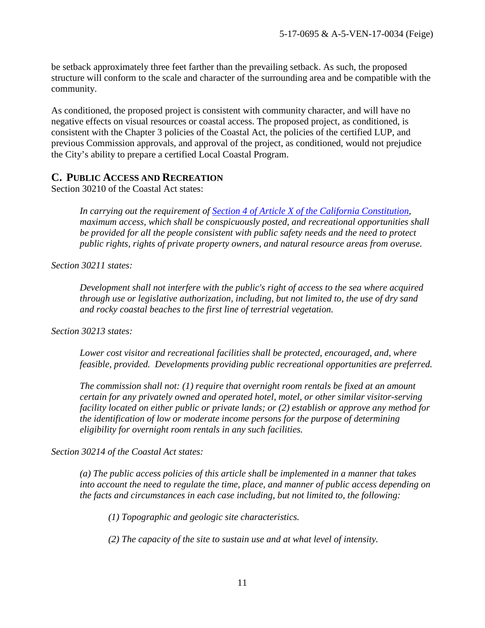be setback approximately three feet farther than the prevailing setback. As such, the proposed structure will conform to the scale and character of the surrounding area and be compatible with the community.

As conditioned, the proposed project is consistent with community character, and will have no negative effects on visual resources or coastal access. The proposed project, as conditioned, is consistent with the Chapter 3 policies of the Coastal Act, the policies of the certified LUP, and previous Commission approvals, and approval of the project, as conditioned, would not prejudice the City's ability to prepare a certified Local Coastal Program.

#### <span id="page-10-0"></span>**C. PUBLIC ACCESS AND RECREATION**

Section 30210 of the Coastal Act states:

*In carrying out the requirement of [Section 4 of Article X of the California Constitution,](http://www.leginfo.ca.gov/calaw.html) maximum access, which shall be conspicuously posted, and recreational opportunities shall be provided for all the people consistent with public safety needs and the need to protect public rights, rights of private property owners, and natural resource areas from overuse.* 

*Section 30211 states:* 

*Development shall not interfere with the public's right of access to the sea where acquired through use or legislative authorization, including, but not limited to, the use of dry sand and rocky coastal beaches to the first line of terrestrial vegetation.* 

*Section 30213 states:* 

*Lower cost visitor and recreational facilities shall be protected, encouraged, and, where feasible, provided. Developments providing public recreational opportunities are preferred.* 

*The commission shall not: (1) require that overnight room rentals be fixed at an amount certain for any privately owned and operated hotel, motel, or other similar visitor-serving facility located on either public or private lands; or (2) establish or approve any method for the identification of low or moderate income persons for the purpose of determining eligibility for overnight room rentals in any such facilities.*

*Section 30214 of the Coastal Act states:* 

*(a) The public access policies of this article shall be implemented in a manner that takes into account the need to regulate the time, place, and manner of public access depending on the facts and circumstances in each case including, but not limited to, the following:* 

 *(1) Topographic and geologic site characteristics.* 

 *(2) The capacity of the site to sustain use and at what level of intensity.*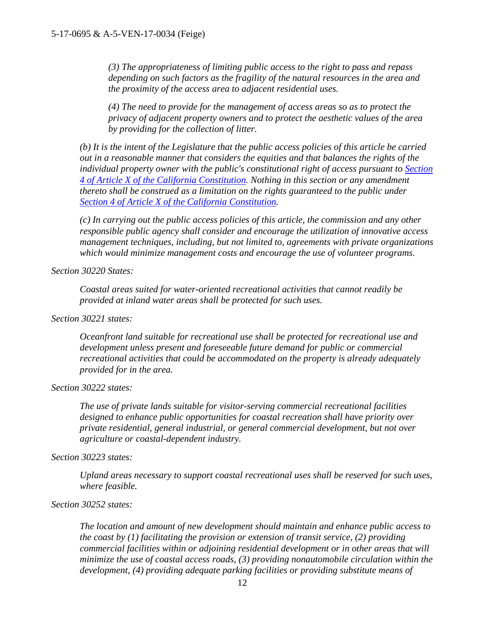*(3) The appropriateness of limiting public access to the right to pass and repass depending on such factors as the fragility of the natural resources in the area and the proximity of the access area to adjacent residential uses.* 

*(4) The need to provide for the management of access areas so as to protect the privacy of adjacent property owners and to protect the aesthetic values of the area by providing for the collection of litter.*

*(b) It is the intent of the Legislature that the public access policies of this article be carried out in a reasonable manner that considers the equities and that balances the rights of the individual property owner with the public's constitutional right of access pursuant to [Section](http://www.leginfo.ca.gov/calaw.html)  [4 of Article X of the California Constitution.](http://www.leginfo.ca.gov/calaw.html) Nothing in this section or any amendment thereto shall be construed as a limitation on the rights guaranteed to the public under [Section 4 of Article X of the California Constitution.](http://www.leginfo.ca.gov/calaw.html)* 

*(c) In carrying out the public access policies of this article, the commission and any other responsible public agency shall consider and encourage the utilization of innovative access management techniques, including, but not limited to, agreements with private organizations which would minimize management costs and encourage the use of volunteer programs.* 

*Section 30220 States:* 

*Coastal areas suited for water-oriented recreational activities that cannot readily be provided at inland water areas shall be protected for such uses.*

*Section 30221 states:*

*Oceanfront land suitable for recreational use shall be protected for recreational use and development unless present and foreseeable future demand for public or commercial recreational activities that could be accommodated on the property is already adequately provided for in the area.* 

*Section 30222 states:*

*The use of private lands suitable for visitor-serving commercial recreational facilities designed to enhance public opportunities for coastal recreation shall have priority over private residential, general industrial, or general commercial development, but not over agriculture or coastal-dependent industry.* 

*Section 30223 states:* 

*Upland areas necessary to support coastal recreational uses shall be reserved for such uses, where feasible.*

#### *Section 30252 states:*

*The location and amount of new development should maintain and enhance public access to the coast by (1) facilitating the provision or extension of transit service, (2) providing commercial facilities within or adjoining residential development or in other areas that will minimize the use of coastal access roads, (3) providing nonautomobile circulation within the development, (4) providing adequate parking facilities or providing substitute means of*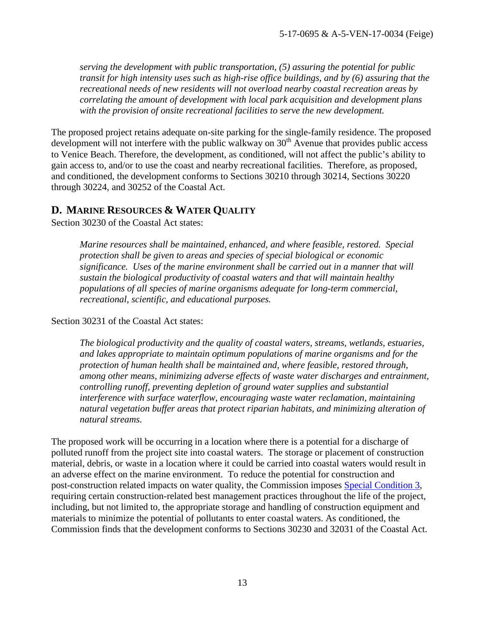*serving the development with public transportation, (5) assuring the potential for public transit for high intensity uses such as high-rise office buildings, and by (6) assuring that the recreational needs of new residents will not overload nearby coastal recreation areas by correlating the amount of development with local park acquisition and development plans with the provision of onsite recreational facilities to serve the new development.* 

The proposed project retains adequate on-site parking for the single-family residence. The proposed development will not interfere with the public walkway on  $30<sup>th</sup>$  Avenue that provides public access to Venice Beach. Therefore, the development, as conditioned, will not affect the public's ability to gain access to, and/or to use the coast and nearby recreational facilities. Therefore, as proposed, and conditioned, the development conforms to Sections 30210 through 30214, Sections 30220 through 30224, and 30252 of the Coastal Act.

#### <span id="page-12-0"></span>**D. MARINE RESOURCES & WATER QUALITY**

Section 30230 of the Coastal Act states:

*Marine resources shall be maintained, enhanced, and where feasible, restored. Special protection shall be given to areas and species of special biological or economic significance. Uses of the marine environment shall be carried out in a manner that will sustain the biological productivity of coastal waters and that will maintain healthy populations of all species of marine organisms adequate for long-term commercial, recreational, scientific, and educational purposes.* 

Section 30231 of the Coastal Act states:

*The biological productivity and the quality of coastal waters, streams, wetlands, estuaries, and lakes appropriate to maintain optimum populations of marine organisms and for the protection of human health shall be maintained and, where feasible, restored through, among other means, minimizing adverse effects of waste water discharges and entrainment, controlling runoff, preventing depletion of ground water supplies and substantial interference with surface waterflow, encouraging waste water reclamation, maintaining natural vegetation buffer areas that protect riparian habitats, and minimizing alteration of natural streams.* 

<span id="page-12-1"></span>The proposed work will be occurring in a location where there is a potential for a discharge of polluted runoff from the project site into coastal waters. The storage or placement of construction material, debris, or waste in a location where it could be carried into coastal waters would result in an adverse effect on the marine environment. To reduce the potential for construction and post-construction related impacts on water quality, the Commission imposes [Special Condition 3,](#page-3-0) requiring certain construction-related best management practices throughout the life of the project, including, but not limited to, the appropriate storage and handling of construction equipment and materials to minimize the potential of pollutants to enter coastal waters. As conditioned, the Commission finds that the development conforms to Sections 30230 and 32031 of the Coastal Act.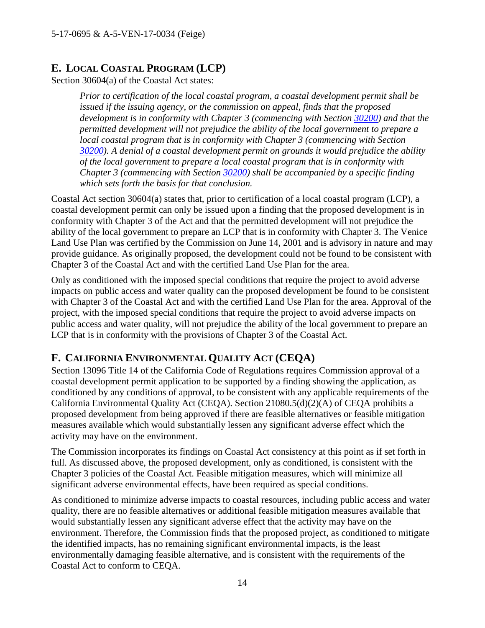## **E. LOCAL COASTAL PROGRAM (LCP)**

Section 30604(a) of the Coastal Act states:

*Prior to certification of the local coastal program, a coastal development permit shall be issued if the issuing agency, or the commission on appeal, finds that the proposed development is in conformity with Chapter 3 (commencing with Section 30200) and that the permitted development will not prejudice the ability of the local government to prepare a local coastal program that is in conformity with Chapter 3 (commencing with Section 30200). A denial of a coastal development permit on grounds it would prejudice the ability of the local government to prepare a local coastal program that is in conformity with Chapter 3 (commencing with Section 30200) shall be accompanied by a specific finding which sets forth the basis for that conclusion.* 

Coastal Act section 30604(a) states that, prior to certification of a local coastal program (LCP), a coastal development permit can only be issued upon a finding that the proposed development is in conformity with Chapter 3 of the Act and that the permitted development will not prejudice the ability of the local government to prepare an LCP that is in conformity with Chapter 3. The Venice Land Use Plan was certified by the Commission on June 14, 2001 and is advisory in nature and may provide guidance. As originally proposed, the development could not be found to be consistent with Chapter 3 of the Coastal Act and with the certified Land Use Plan for the area.

Only as conditioned with the imposed special conditions that require the project to avoid adverse impacts on public access and water quality can the proposed development be found to be consistent with Chapter 3 of the Coastal Act and with the certified Land Use Plan for the area. Approval of the project, with the imposed special conditions that require the project to avoid adverse impacts on public access and water quality, will not prejudice the ability of the local government to prepare an LCP that is in conformity with the provisions of Chapter 3 of the Coastal Act.

## <span id="page-13-0"></span>**F. CALIFORNIA ENVIRONMENTAL QUALITY ACT (CEQA)**

Section 13096 Title 14 of the California Code of Regulations requires Commission approval of a coastal development permit application to be supported by a finding showing the application, as conditioned by any conditions of approval, to be consistent with any applicable requirements of the California Environmental Quality Act (CEQA). Section 21080.5(d)(2)(A) of CEQA prohibits a proposed development from being approved if there are feasible alternatives or feasible mitigation measures available which would substantially lessen any significant adverse effect which the activity may have on the environment.

The Commission incorporates its findings on Coastal Act consistency at this point as if set forth in full. As discussed above, the proposed development, only as conditioned, is consistent with the Chapter 3 policies of the Coastal Act. Feasible mitigation measures, which will minimize all significant adverse environmental effects, have been required as special conditions.

As conditioned to minimize adverse impacts to coastal resources, including public access and water quality, there are no feasible alternatives or additional feasible mitigation measures available that would substantially lessen any significant adverse effect that the activity may have on the environment. Therefore, the Commission finds that the proposed project, as conditioned to mitigate the identified impacts, has no remaining significant environmental impacts, is the least environmentally damaging feasible alternative, and is consistent with the requirements of the Coastal Act to conform to CEQA.